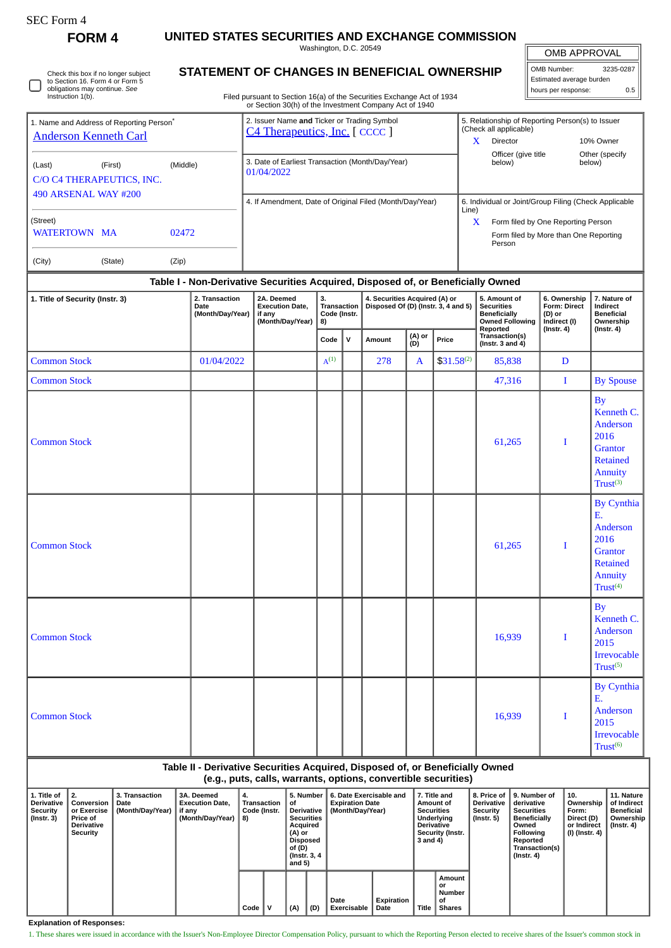| SEC Form- |
|-----------|
|-----------|

J

Check this box if no longer subject to Section 16. Form 4 or Form 5 obligations may continue. *See* Instruction 1(b).

**FORM 4 UNITED STATES SECURITIES AND EXCHANGE COMMISSION**

Washington, D.C. 20549

OMB APPROVAL

| STATEMENT OF CHANGES IN BENEFICIAL OWNERSHIP                           | <b>OMB Number:</b>                       | 3235-0287 |                                                 |  |
|------------------------------------------------------------------------|------------------------------------------|-----------|-------------------------------------------------|--|
|                                                                        | Estimated average burden                 |           |                                                 |  |
| Filed pursuant to Section 16(a) of the Securities Exchange Act of 1934 | I hours per response:                    |           |                                                 |  |
|                                                                        |                                          |           |                                                 |  |
|                                                                        | Issuer Name and Ticker or Trading Symbol |           | 5 Pelationship of Penorting Person(s) to Issuer |  |

 $\mathbb I$ 

| 1. Name and Address of Reporting Person <sup>®</sup> |          | 2. Issuer Name and Ticker or Trading Symbol<br>C4 Therapeutics, Inc. [CCCC] |       | 5. Relationship of Reporting Person(s) to Issuer<br>(Check all applicable) |                          |  |  |  |
|------------------------------------------------------|----------|-----------------------------------------------------------------------------|-------|----------------------------------------------------------------------------|--------------------------|--|--|--|
| <b>Anderson Kenneth Carl</b>                         |          |                                                                             | x     | <b>Director</b>                                                            | 10% Owner                |  |  |  |
| (Last)<br>(First)<br>C/O C4 THERAPEUTICS, INC.       | (Middle) | 3. Date of Earliest Transaction (Month/Day/Year)<br>01/04/2022              |       | Officer (give title<br>below)                                              | Other (specify<br>below) |  |  |  |
| 490 ARSENAL WAY #200                                 |          | 4. If Amendment, Date of Original Filed (Month/Day/Year)                    | Line) | 6. Individual or Joint/Group Filing (Check Applicable                      |                          |  |  |  |
| (Street)                                             |          |                                                                             | X     | Form filed by One Reporting Person                                         |                          |  |  |  |
| <b>WATERTOWN MA</b>                                  | 02472    |                                                                             |       | Form filed by More than One Reporting<br>Person                            |                          |  |  |  |
| (City)<br>(State)                                    | (Zip)    |                                                                             |       |                                                                            |                          |  |  |  |

## **Table I - Non-Derivative Securities Acquired, Disposed of, or Beneficially Owned**

| 1. Title of Security (Instr. 3) | 2. Transaction<br>Date<br>(Month/Day/Year) | 2A. Deemed<br><b>Execution Date,</b><br>if any<br>(Month/Day/Year) | 3.<br>Transaction<br>Code (Instr.<br>8) |              | 4. Securities Acquired (A) or<br>Disposed Of (D) (Instr. 3, 4 and 5) |               |                | 5. Amount of<br><b>Securities</b><br><b>Beneficially</b><br><b>Owned Following</b> | 6. Ownership<br>Form: Direct<br>(D) or<br>Indirect (I) | 7. Nature of<br>Indirect<br><b>Beneficial</b><br>Ownership                                                          |
|---------------------------------|--------------------------------------------|--------------------------------------------------------------------|-----------------------------------------|--------------|----------------------------------------------------------------------|---------------|----------------|------------------------------------------------------------------------------------|--------------------------------------------------------|---------------------------------------------------------------------------------------------------------------------|
|                                 |                                            |                                                                    | Code                                    | $\mathsf{v}$ | Amount                                                               | (A) or<br>(D) | Price          | Reported<br>Transaction(s)<br>(Instr. 3 and $4$ )                                  | $($ Instr. 4 $)$                                       | $($ Instr. 4 $)$                                                                                                    |
| <b>Common Stock</b>             | 01/04/2022                                 |                                                                    | $A^{(1)}$                               |              | 278                                                                  | A             | $$31.58^{(2)}$ | 85,838                                                                             | D                                                      |                                                                                                                     |
| <b>Common Stock</b>             |                                            |                                                                    |                                         |              |                                                                      |               |                | 47,316                                                                             | $\mathbf I$                                            | <b>By Spouse</b>                                                                                                    |
| <b>Common Stock</b>             |                                            |                                                                    |                                         |              |                                                                      |               |                | 61,265                                                                             | I                                                      | <b>By</b><br>Kenneth C.<br>Anderson<br>2016<br><b>Grantor</b><br><b>Retained</b><br>Annuity<br>Trust <sup>(3)</sup> |
| <b>Common Stock</b>             |                                            |                                                                    |                                         |              |                                                                      |               |                | 61,265                                                                             | I                                                      | <b>By Cynthia</b><br>Ε.<br>Anderson<br>2016<br><b>Grantor</b><br><b>Retained</b><br>Annuity<br>Trust <sup>(4)</sup> |
| <b>Common Stock</b>             |                                            |                                                                    |                                         |              |                                                                      |               |                | 16,939                                                                             | I                                                      | <b>By</b><br>Kenneth C.<br>Anderson<br>2015<br>Irrevocable<br>Trust <sup>(5)</sup>                                  |
| <b>Common Stock</b>             |                                            |                                                                    |                                         |              |                                                                      |               |                | 16,939                                                                             | I                                                      | <b>By Cynthia</b><br>E.<br>Anderson<br>2015<br>Irrevocable<br>Trust <sup>(6)</sup>                                  |

**(e.g., puts, calls, warrants, options, convertible securities)**

| 1. Title of<br><b>Derivative</b><br>Security<br>  (Instr. 3) | 2.<br>Conversion<br>or Exercise<br>Price of<br>Derivative<br>Security | 3. Transaction<br>Date<br>(Month/Day/Year) | 3A. Deemed<br><b>Execution Date.</b><br>if any<br>(Month/Day/Year) | 4.<br>Transaction<br>Code (Instr.<br>8) |  | 5. Number<br>0f<br><b>Derivative</b><br><b>Securities</b><br>Acquired<br>(A) or<br>Disposed<br>of (D)<br>(Instr. 3, 4)<br>and 5) |     | 6. Date Exercisable and<br><b>Expiration Date</b><br>(Month/Day/Year) |                    | 7. Title and<br>Amount of<br><b>Securities</b><br>Underlving<br><b>Derivative</b><br><b>Security (Instr.</b><br>3 and 4) |                                               | <b>Derivative</b><br>Security<br>(Instr. 5) | 8. Price of 19. Number of<br>derivative<br><b>Securities</b><br><b>Beneficially</b><br>Owned<br>Following<br>Reported<br>Transaction(s)<br>$($ Instr. 4 $)$ | 10.<br>Ownership<br>Form:<br>Direct (D)<br>or Indirect<br>(I) (Instr. 4) | 11. Nature<br>of Indirect<br><b>Beneficial</b><br>Ownership<br>(Instr. 4) |
|--------------------------------------------------------------|-----------------------------------------------------------------------|--------------------------------------------|--------------------------------------------------------------------|-----------------------------------------|--|----------------------------------------------------------------------------------------------------------------------------------|-----|-----------------------------------------------------------------------|--------------------|--------------------------------------------------------------------------------------------------------------------------|-----------------------------------------------|---------------------------------------------|-------------------------------------------------------------------------------------------------------------------------------------------------------------|--------------------------------------------------------------------------|---------------------------------------------------------------------------|
|                                                              |                                                                       |                                            |                                                                    | Code                                    |  | (A)                                                                                                                              | (D) | Date<br>Exercisable                                                   | Expiration<br>Date | Title                                                                                                                    | Amount<br>or<br>Number<br>οf<br><b>Shares</b> |                                             |                                                                                                                                                             |                                                                          |                                                                           |

**Explanation of Responses:**

1. These shares were issued in accordance with the Issuer's Non-Employee Director Compensation Policy, pursuant to which the Reporting Person elected to receive shares of the Issuer's common stock in